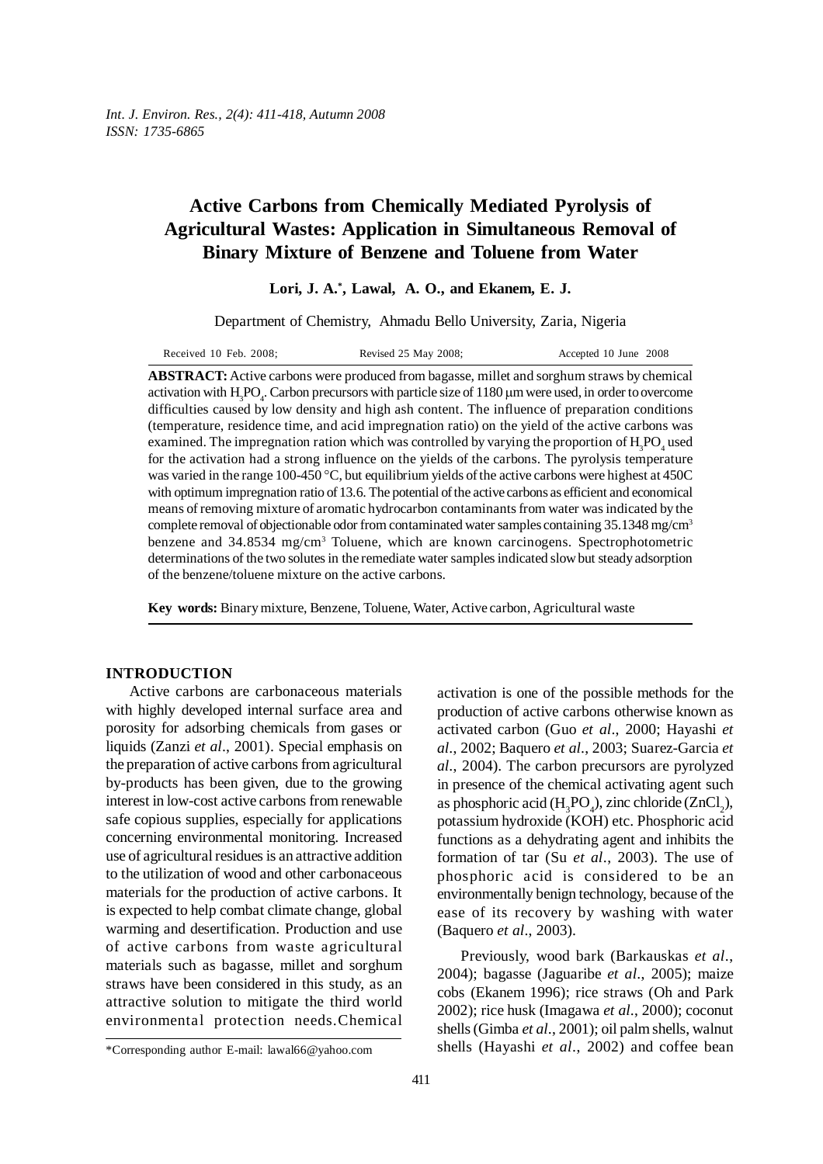# **Active Carbons from Chemically Mediated Pyrolysis of Agricultural Wastes: Application in Simultaneous Removal of Binary Mixture of Benzene and Toluene from Water**

**Lori, J. A.\* , Lawal, A. O., and Ekanem, E. J.**

Department of Chemistry, Ahmadu Bello University, Zaria, Nigeria

| Received 10 Feb. 2008; | Revised 25 May 2008; | Accepted 10 June 2008 |
|------------------------|----------------------|-----------------------|
|------------------------|----------------------|-----------------------|

**ABSTRACT:** Active carbons were produced from bagasse, millet and sorghum straws by chemical activation with  $H_3PO_4$ . Carbon precursors with particle size of 1180  $\mu$ m were used, in order to overcome difficulties caused by low density and high ash content. The influence of preparation conditions (temperature, residence time, and acid impregnation ratio) on the yield of the active carbons was examined. The impregnation ration which was controlled by varying the proportion of  $H_3PO_4$  used for the activation had a strong influence on the yields of the carbons. The pyrolysis temperature was varied in the range 100-450 °C, but equilibrium yields of the active carbons were highest at 450C with optimum impregnation ratio of 13.6. The potential of the active carbons as efficient and economical means of removing mixture of aromatic hydrocarbon contaminants from water was indicated by the complete removal of objectionable odor from contaminated water samples containing 35.1348 mg/cm<sup>3</sup> benzene and 34.8534 mg/cm<sup>3</sup> Toluene, which are known carcinogens. Spectrophotometric determinations of the two solutes in the remediate water samples indicated slow but steady adsorption of the benzene/toluene mixture on the active carbons.

**Key words:** Binary mixture, Benzene, Toluene, Water, Active carbon, Agricultural waste

#### **INTRODUCTION**

Active carbons are carbonaceous materials with highly developed internal surface area and porosity for adsorbing chemicals from gases or liquids (Zanzi *et al*., 2001). Special emphasis on the preparation of active carbons from agricultural by-products has been given, due to the growing interest in low-cost active carbons from renewable safe copious supplies, especially for applications concerning environmental monitoring. Increased use of agricultural residues is an attractive addition to the utilization of wood and other carbonaceous materials for the production of active carbons. It is expected to help combat climate change, global warming and desertification. Production and use of active carbons from waste agricultural materials such as bagasse, millet and sorghum straws have been considered in this study, as an attractive solution to mitigate the third world environmental protection needs.Chemical

activation is one of the possible methods for the production of active carbons otherwise known as activated carbon (Guo *et al*., 2000; Hayashi *et al*., 2002; Baquero *et al*., 2003; Suarez-Garcia *et al*., 2004). The carbon precursors are pyrolyzed in presence of the chemical activating agent such as phosphoric acid  $(H_3PO_4)$ , zinc chloride  $(ZnCl_2)$ , potassium hydroxide (KOH) etc. Phosphoric acid functions as a dehydrating agent and inhibits the formation of tar (Su *et al*., 2003). The use of phosphoric acid is considered to be an environmentally benign technology, because of the ease of its recovery by washing with water (Baquero *et al*., 2003).

Previously, wood bark (Barkauskas *et al*., 2004); bagasse (Jaguaribe *et al*., 2005); maize cobs (Ekanem 1996); rice straws (Oh and Park 2002); rice husk (Imagawa *et al*., 2000); coconut shells (Gimba *et al*., 2001); oil palm shells, walnut shells (Hayashi *et al*., 2002) and coffee bean

<sup>\*</sup>Corresponding author E-mail: lawal66@yahoo.com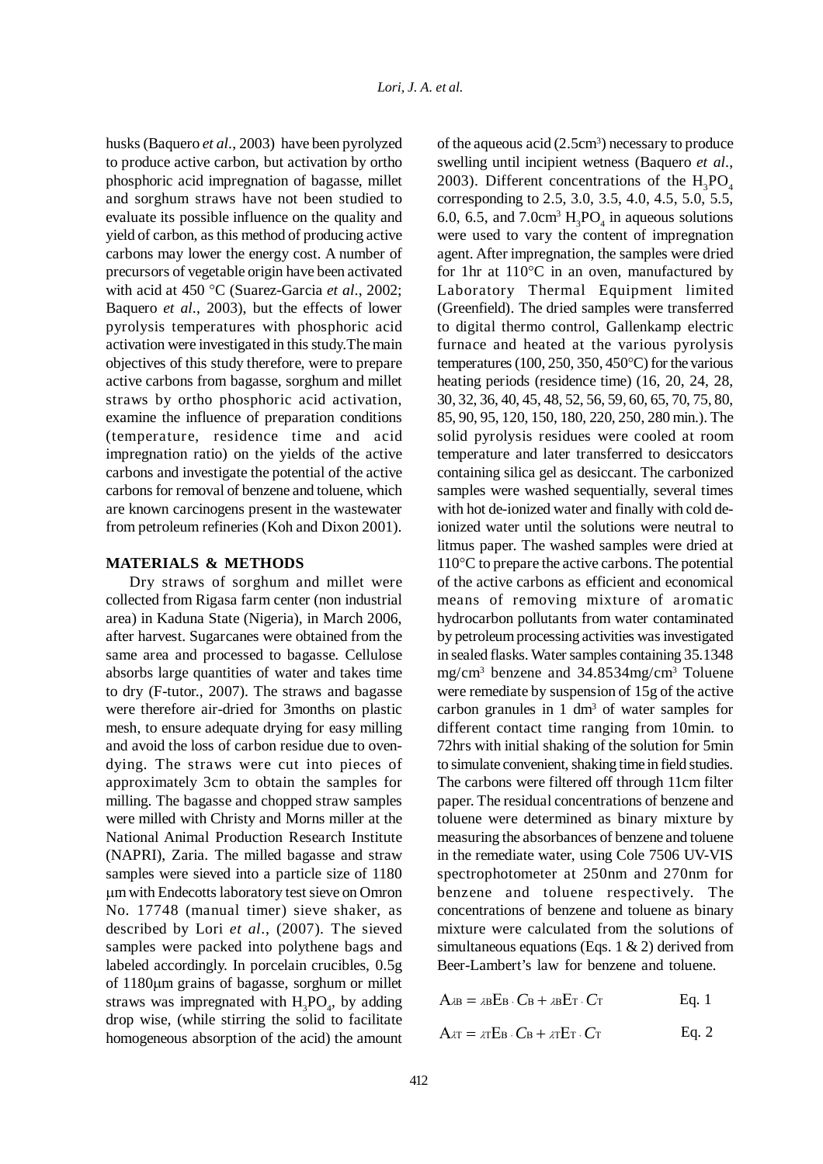husks (Baquero *et al*., 2003) have been pyrolyzed to produce active carbon, but activation by ortho phosphoric acid impregnation of bagasse, millet and sorghum straws have not been studied to evaluate its possible influence on the quality and yield of carbon, as this method of producing active carbons may lower the energy cost. A number of precursors of vegetable origin have been activated with acid at 450 °C (Suarez-Garcia *et al*., 2002; Baquero *et al*., 2003), but the effects of lower pyrolysis temperatures with phosphoric acid activation were investigated in this study.The main objectives of this study therefore, were to prepare active carbons from bagasse, sorghum and millet straws by ortho phosphoric acid activation, examine the influence of preparation conditions (temperature, residence time and acid impregnation ratio) on the yields of the active carbons and investigate the potential of the active carbons for removal of benzene and toluene, which are known carcinogens present in the wastewater from petroleum refineries (Koh and Dixon 2001).

#### **MATERIALS & METHODS**

Dry straws of sorghum and millet were collected from Rigasa farm center (non industrial area) in Kaduna State (Nigeria), in March 2006, after harvest. Sugarcanes were obtained from the same area and processed to bagasse. Cellulose absorbs large quantities of water and takes time to dry (F-tutor., 2007). The straws and bagasse were therefore air-dried for 3months on plastic mesh, to ensure adequate drying for easy milling and avoid the loss of carbon residue due to ovendying. The straws were cut into pieces of approximately 3cm to obtain the samples for milling. The bagasse and chopped straw samples were milled with Christy and Morns miller at the National Animal Production Research Institute (NAPRI), Zaria. The milled bagasse and straw samples were sieved into a particle size of 1180 µm with Endecotts laboratory test sieve on Omron No. 17748 (manual timer) sieve shaker, as described by Lori *et al*., (2007). The sieved samples were packed into polythene bags and labeled accordingly. In porcelain crucibles, 0.5g of 1180µm grains of bagasse, sorghum or millet straws was impregnated with  $H_3PO_4$ , by adding drop wise, (while stirring the solid to facilitate homogeneous absorption of the acid) the amount

of the aqueous  $\arctan(2.5cm^3)$  necessary to produce swelling until incipient wetness (Baquero *et al*., 2003). Different concentrations of the  $H_2PO_4$ corresponding to 2.5, 3.0, 3.5, 4.0, 4.5, 5.0, 5.5, 6.0, 6.5, and 7.0cm<sup>3</sup>  $H_3PO_4$  in aqueous solutions were used to vary the content of impregnation agent. After impregnation, the samples were dried for 1hr at 110°C in an oven, manufactured by Laboratory Thermal Equipment limited (Greenfield). The dried samples were transferred to digital thermo control, Gallenkamp electric furnace and heated at the various pyrolysis temperatures (100, 250, 350, 450°C) for the various heating periods (residence time) (16, 20, 24, 28, 30, 32, 36, 40, 45, 48, 52, 56, 59, 60, 65, 70, 75, 80, 85, 90, 95, 120, 150, 180, 220, 250, 280 min.). The solid pyrolysis residues were cooled at room temperature and later transferred to desiccators containing silica gel as desiccant. The carbonized samples were washed sequentially, several times with hot de-ionized water and finally with cold deionized water until the solutions were neutral to litmus paper. The washed samples were dried at 110°C to prepare the active carbons. The potential of the active carbons as efficient and economical means of removing mixture of aromatic hydrocarbon pollutants from water contaminated by petroleum processing activities was investigated in sealed flasks. Water samples containing 35.1348 mg/cm3 benzene and 34.8534mg/cm3 Toluene were remediate by suspension of 15g of the active carbon granules in  $1 \text{ dm}^3$  of water samples for different contact time ranging from 10min. to 72hrs with initial shaking of the solution for 5min to simulate convenient, shaking time in field studies. The carbons were filtered off through 11cm filter paper. The residual concentrations of benzene and toluene were determined as binary mixture by measuring the absorbances of benzene and toluene in the remediate water, using Cole 7506 UV-VIS spectrophotometer at 250nm and 270nm for benzene and toluene respectively. The concentrations of benzene and toluene as binary mixture were calculated from the solutions of simultaneous equations (Eqs. 1  $\&$  2) derived from Beer-Lambert's law for benzene and toluene.

$$
A_{\text{AB}} = \text{AB}E_B \cdot C_B + \text{AB}E_T \cdot C_T \qquad \qquad Eq. 1
$$

$$
A\lambda \tau = \lambda \tau E_B \cdot C_B + \lambda \tau E_T \cdot C_T \qquad Eq. 2
$$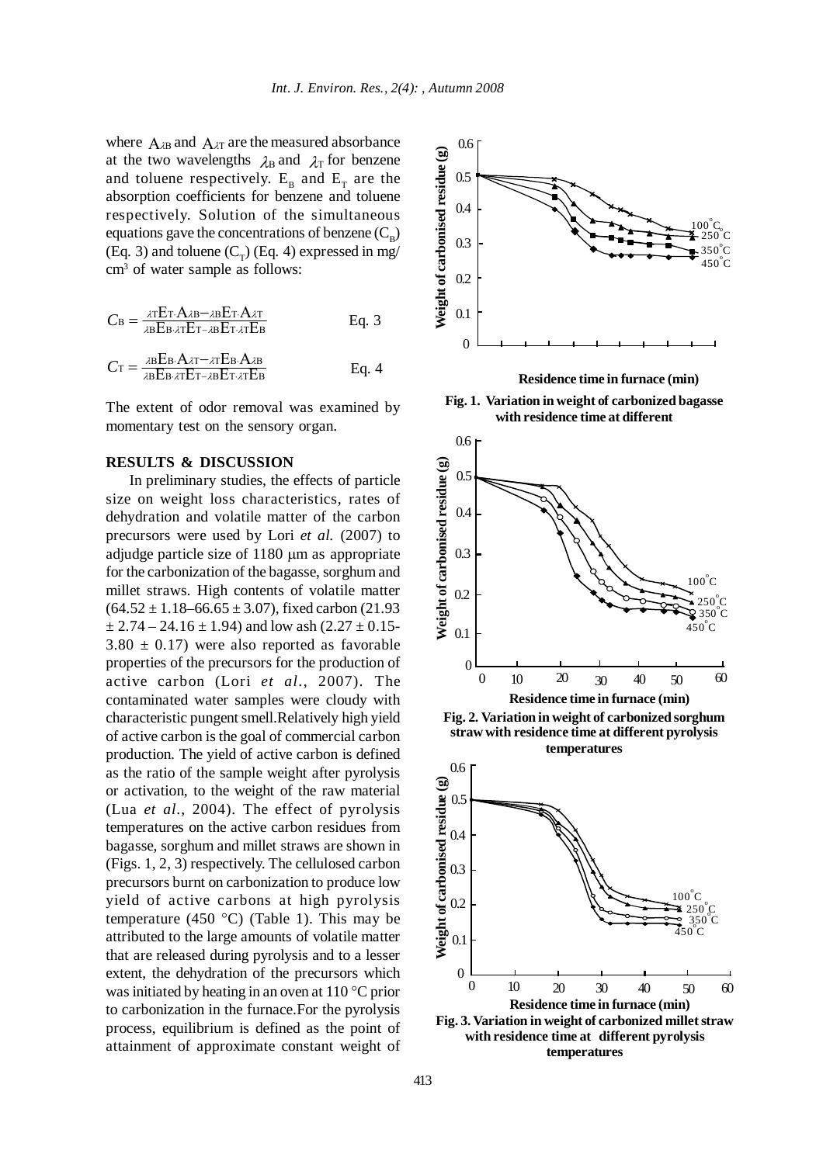where  $A_{\lambda B}$  and  $A_{\lambda T}$  are the measured absorbance at the two wavelengths  $\lambda_B$  and  $\lambda_T$  for benzene and toluene respectively.  $E_B$  and  $E_T$  are the absorption coefficients for benzene and toluene respectively. Solution of the simultaneous equations gave the concentrations of benzene  $(C_p)$ (Eq. 3) and toluene  $(C_T)$  (Eq. 4) expressed in mg/ cm3 of water sample as follows:

$$
C_{B} = \frac{\lambda T E T A \lambda B - \lambda B E T A \lambda T}{\lambda B E B \cdot \lambda T E T - \lambda B E T \cdot \lambda T E B}
$$
 Eq. 3

$$
C_{\text{T}} = \frac{\text{AB}\text{E}\text{B}\cdot\text{A}\text{A}\text{T} - \text{A}\text{T}\text{E}\text{B}\cdot\text{A}\text{A}\text{B}}{\text{AB}\text{E}\text{B}\text{A}\text{T}\text{E}\text{T} - \text{AB}\text{E}\text{T}\cdot\text{A}\text{T}\text{E}\text{B}} \qquad \qquad \text{Eq. 4}
$$

The extent of odor removal was examined by momentary test on the sensory organ.

#### **RESULTS & DISCUSSION**

In preliminary studies, the effects of particle size on weight loss characteristics, rates of dehydration and volatile matter of the carbon precursors were used by Lori *et al.* (2007) to adjudge particle size of 1180 µm as appropriate for the carbonization of the bagasse, sorghum and millet straws. High contents of volatile matter  $(64.52 \pm 1.18 - 66.65 \pm 3.07)$ , fixed carbon (21.93)  $\pm$  2.74 – 24.16  $\pm$  1.94) and low ash (2.27  $\pm$  0.15- $3.80 \pm 0.17$ ) were also reported as favorable properties of the precursors for the production of active carbon (Lori *et al*., 2007). The contaminated water samples were cloudy with characteristic pungent smell.Relatively high yield of active carbon is the goal of commercial carbon production. The yield of active carbon is defined as the ratio of the sample weight after pyrolysis or activation, to the weight of the raw material (Lua *et al*., 2004). The effect of pyrolysis temperatures on the active carbon residues from bagasse, sorghum and millet straws are shown in (Figs. 1, 2, 3) respectively. The cellulosed carbon precursors burnt on carbonization to produce low yield of active carbons at high pyrolysis temperature (450 °C) (Table 1). This may be attributed to the large amounts of volatile matter that are released during pyrolysis and to a lesser extent, the dehydration of the precursors which was initiated by heating in an oven at 110 °C prior to carbonization in the furnace.For the pyrolysis process, equilibrium is defined as the point of attainment of approximate constant weight of

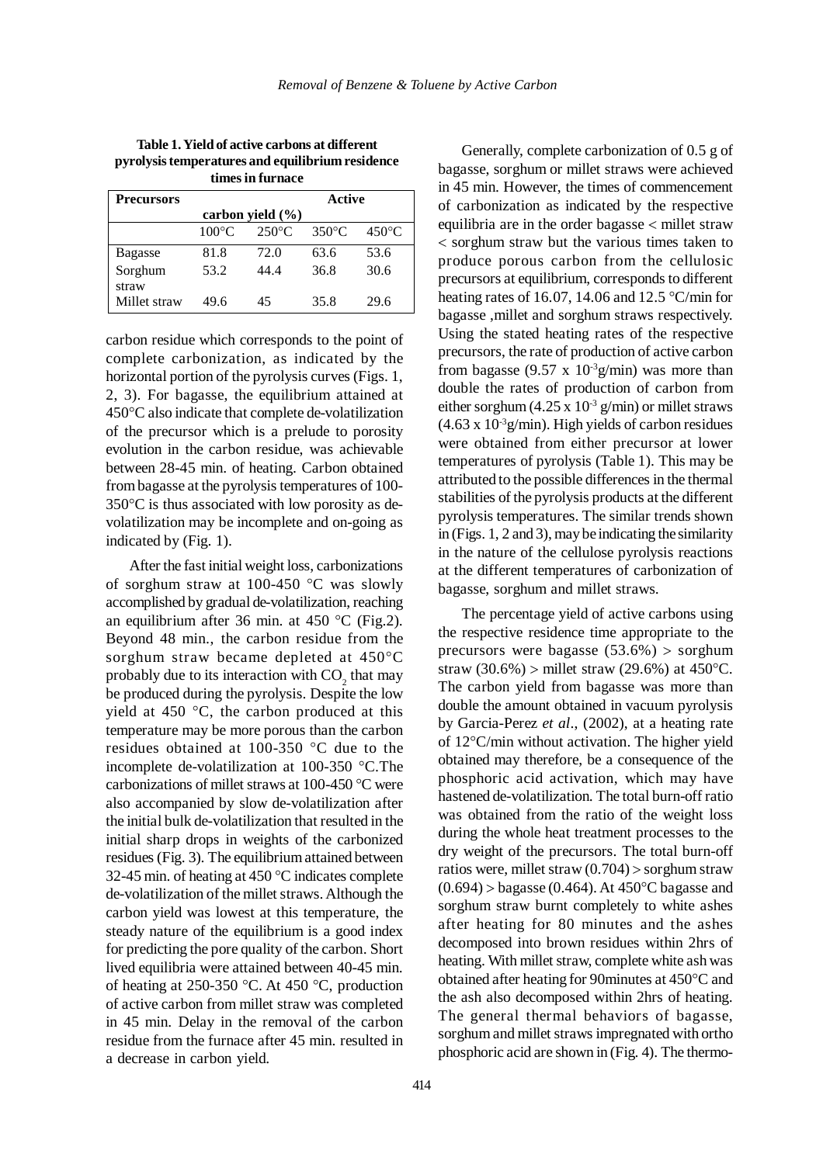| Table 1. Yield of active carbons at different    |
|--------------------------------------------------|
| pyrolysis temperatures and equilibrium residence |
| times in furnace                                 |

| <b>Precursors</b> | Active               |                 |                 |                 |  |  |
|-------------------|----------------------|-----------------|-----------------|-----------------|--|--|
|                   | carbon yield $(\% )$ |                 |                 |                 |  |  |
|                   | $100^{\circ}$ C      | $250^{\circ}$ C | $350^{\circ}$ C | $450^{\circ}$ C |  |  |
| Bagasse           | 81.8                 | 72.0            | 63.6            | 53.6            |  |  |
| Sorghum<br>straw  | 53.2                 | 44.4            | 36.8            | 30.6            |  |  |
| Millet straw      | 49.6                 | 45              | 35.8            | 29.6            |  |  |

carbon residue which corresponds to the point of complete carbonization, as indicated by the horizontal portion of the pyrolysis curves (Figs. 1, 2, 3). For bagasse, the equilibrium attained at 450°C also indicate that complete de-volatilization of the precursor which is a prelude to porosity evolution in the carbon residue, was achievable between 28-45 min. of heating. Carbon obtained from bagasse at the pyrolysis temperatures of 100- 350°C is thus associated with low porosity as devolatilization may be incomplete and on-going as indicated by (Fig. 1).

After the fast initial weight loss, carbonizations of sorghum straw at 100-450 °C was slowly accomplished by gradual de-volatilization, reaching an equilibrium after 36 min. at 450 °C (Fig.2). Beyond 48 min., the carbon residue from the sorghum straw became depleted at 450°C probably due to its interaction with  $CO_2$  that may be produced during the pyrolysis. Despite the low yield at 450 °C, the carbon produced at this temperature may be more porous than the carbon residues obtained at 100-350 °C due to the incomplete de-volatilization at 100-350 °C.The carbonizations of millet straws at 100-450 °C were also accompanied by slow de-volatilization after the initial bulk de-volatilization that resulted in the initial sharp drops in weights of the carbonized residues (Fig. 3). The equilibrium attained between 32-45 min. of heating at 450 °C indicates complete de-volatilization of the millet straws. Although the carbon yield was lowest at this temperature, the steady nature of the equilibrium is a good index for predicting the pore quality of the carbon. Short lived equilibria were attained between 40-45 min. of heating at 250-350 °C. At 450 °C, production of active carbon from millet straw was completed in 45 min. Delay in the removal of the carbon residue from the furnace after 45 min. resulted in a decrease in carbon yield.

Generally, complete carbonization of 0.5 g of bagasse, sorghum or millet straws were achieved in 45 min. However, the times of commencement of carbonization as indicated by the respective equilibria are in the order bagasse < millet straw < sorghum straw but the various times taken to produce porous carbon from the cellulosic precursors at equilibrium, corresponds to different heating rates of 16.07, 14.06 and 12.5  $\degree$ C/min for bagasse ,millet and sorghum straws respectively. Using the stated heating rates of the respective precursors, the rate of production of active carbon from bagasse (9.57 x  $10^{-3}$ g/min) was more than double the rates of production of carbon from either sorghum  $(4.25 \times 10^{-3} \text{ g/min})$  or millet straws  $(4.63 \times 10^{-3} \text{g/min})$ . High yields of carbon residues were obtained from either precursor at lower temperatures of pyrolysis (Table 1). This may be attributed to the possible differences in the thermal stabilities of the pyrolysis products at the different pyrolysis temperatures. The similar trends shown in (Figs. 1, 2 and 3), may be indicating the similarity in the nature of the cellulose pyrolysis reactions at the different temperatures of carbonization of bagasse, sorghum and millet straws.

The percentage yield of active carbons using the respective residence time appropriate to the precursors were bagasse  $(53.6%) >$  sorghum straw  $(30.6\%)$  > millet straw  $(29.6\%)$  at 450 °C. The carbon yield from bagasse was more than double the amount obtained in vacuum pyrolysis by Garcia-Perez *et al*., (2002), at a heating rate of 12°C/min without activation. The higher yield obtained may therefore, be a consequence of the phosphoric acid activation, which may have hastened de-volatilization. The total burn-off ratio was obtained from the ratio of the weight loss during the whole heat treatment processes to the dry weight of the precursors. The total burn-off ratios were, millet straw  $(0.704)$  > sorghum straw  $(0.694)$  > bagasse (0.464). At 450 °C bagasse and sorghum straw burnt completely to white ashes after heating for 80 minutes and the ashes decomposed into brown residues within 2hrs of heating. With millet straw, complete white ash was obtained after heating for 90minutes at 450°C and the ash also decomposed within 2hrs of heating. The general thermal behaviors of bagasse, sorghum and millet straws impregnated with ortho phosphoric acid are shown in (Fig. 4). The thermo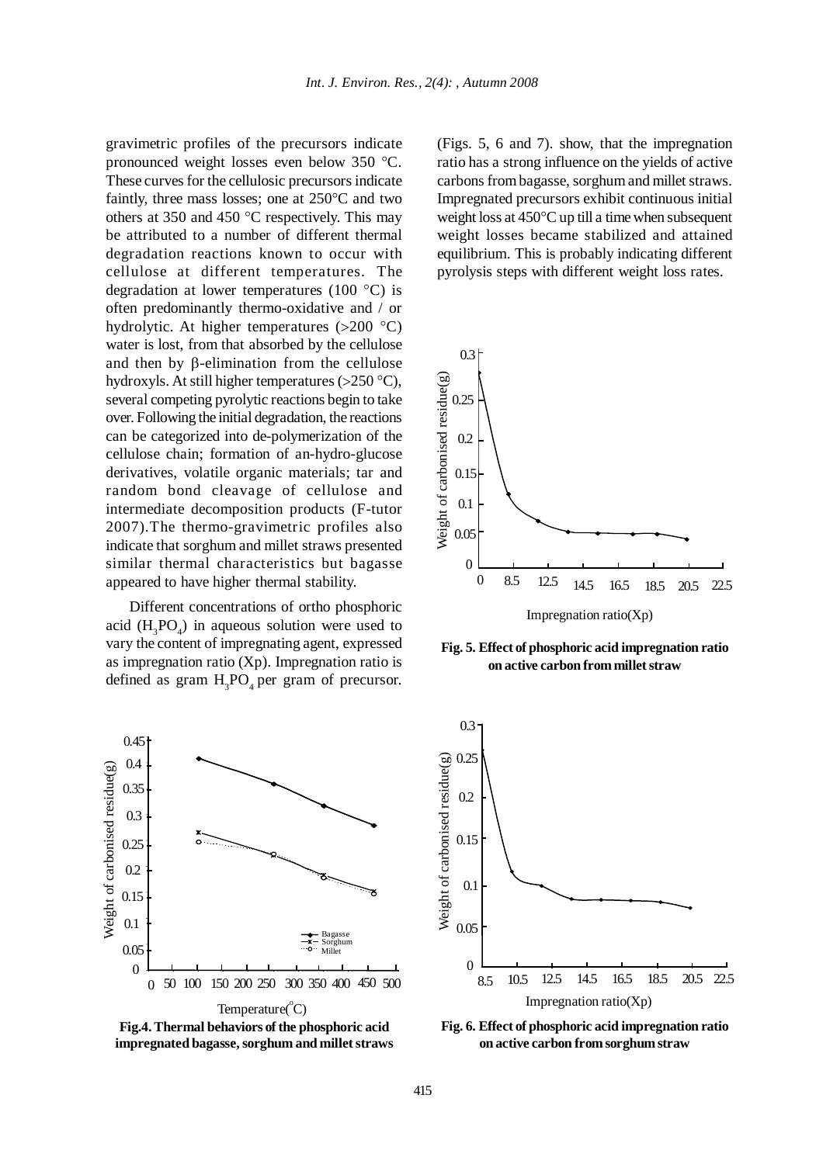gravimetric profiles of the precursors indicate pronounced weight losses even below 350 °C. These curves for the cellulosic precursors indicate faintly, three mass losses; one at 250°C and two others at 350 and 450 °C respectively. This may be attributed to a number of different thermal degradation reactions known to occur with cellulose at different temperatures. The degradation at lower temperatures (100 °C) is often predominantly thermo-oxidative and / or hydrolytic. At higher temperatures (>200 °C) water is lost, from that absorbed by the cellulose and then by β-elimination from the cellulose hydroxyls. At still higher temperatures (>250 °C), several competing pyrolytic reactions begin to take over. Following the initial degradation, the reactions can be categorized into de-polymerization of the cellulose chain; formation of an-hydro-glucose derivatives, volatile organic materials; tar and random bond cleavage of cellulose and intermediate decomposition products (F-tutor 2007).The thermo-gravimetric profiles also indicate that sorghum and millet straws presented similar thermal characteristics but bagasse appeared to have higher thermal stability.

Different concentrations of ortho phosphoric acid  $(H_3PO_4)$  in aqueous solution were used to vary the content of impregnating agent, expressed as impregnation ratio  $(X_p)$ . Impregnation ratio is defined as gram  $H_3PO_4$  per gram of precursor.



**Fig.4. Thermal behaviors of the phosphoric acid impregnated bagasse, sorghum and millet straws**

(Figs. 5, 6 and 7). show, that the impregnation ratio has a strong influence on the yields of active carbons from bagasse, sorghum and millet straws. Impregnated precursors exhibit continuous initial weight loss at 450°C up till a time when subsequent weight losses became stabilized and attained equilibrium. This is probably indicating different pyrolysis steps with different weight loss rates.



**Fig. 5. Effect of phosphoric acid impregnation ratio on active carbon from millet straw**



**Fig. 6. Effect of phosphoric acid impregnation ratio on active carbon from sorghum straw**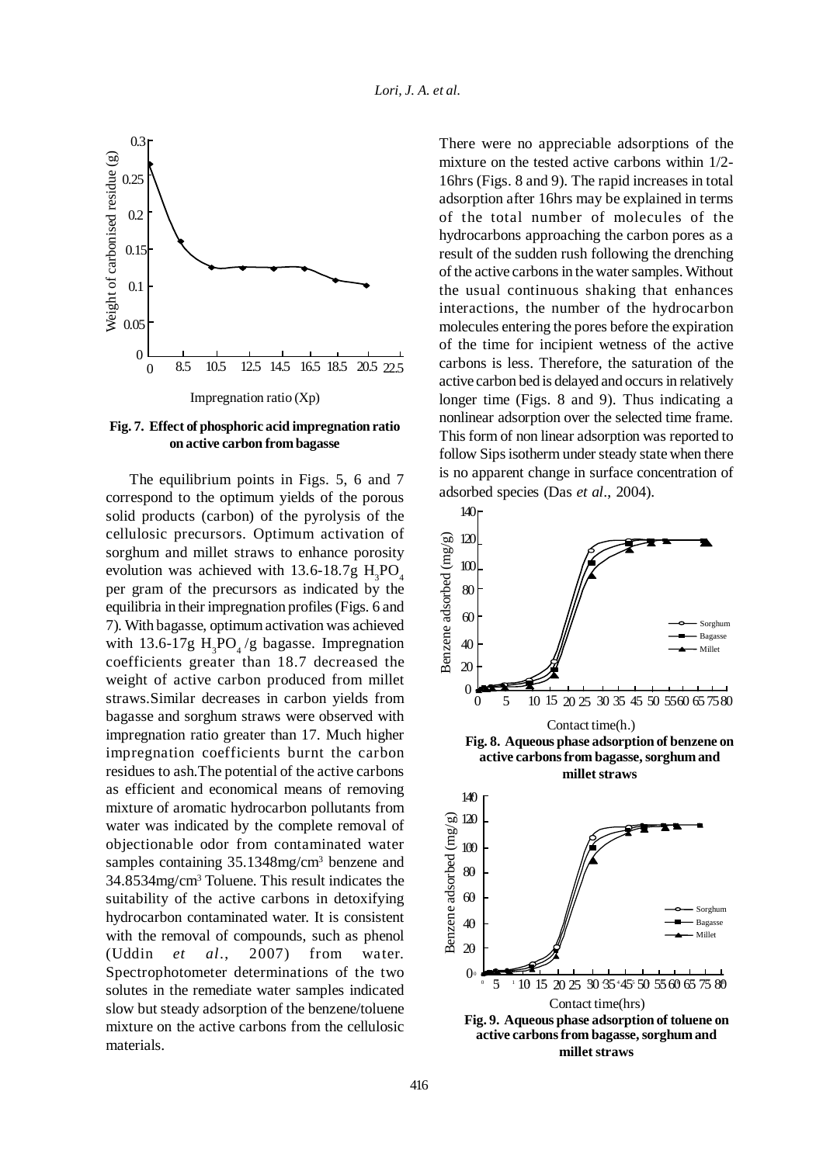

**Fig. 7. Effect of phosphoric acid impregnation ratio on active carbon from bagasse**

The equilibrium points in Figs. 5, 6 and 7 correspond to the optimum yields of the porous solid products (carbon) of the pyrolysis of the cellulosic precursors. Optimum activation of sorghum and millet straws to enhance porosity evolution was achieved with  $13.6$ -18.7g  $H_3PO_4$ per gram of the precursors as indicated by the equilibria in their impregnation profiles (Figs. 6 and 7). With bagasse, optimum activation was achieved with 13.6-17g  $H_3PO_4/g$  bagasse. Impregnation coefficients greater than 18.7 decreased the weight of active carbon produced from millet straws.Similar decreases in carbon yields from bagasse and sorghum straws were observed with impregnation ratio greater than 17. Much higher impregnation coefficients burnt the carbon residues to ash.The potential of the active carbons as efficient and economical means of removing mixture of aromatic hydrocarbon pollutants from water was indicated by the complete removal of objectionable odor from contaminated water samples containing 35.1348mg/cm<sup>3</sup> benzene and 34.8534mg/cm3 Toluene. This result indicates the suitability of the active carbons in detoxifying hydrocarbon contaminated water. It is consistent with the removal of compounds, such as phenol (Uddin *et al*., 2007) from water. Spectrophotometer determinations of the two solutes in the remediate water samples indicated slow but steady adsorption of the benzene/toluene mixture on the active carbons from the cellulosic materials.

There were no appreciable adsorptions of the mixture on the tested active carbons within 1/2- 16hrs (Figs. 8 and 9). The rapid increases in total adsorption after 16hrs may be explained in terms of the total number of molecules of the hydrocarbons approaching the carbon pores as a result of the sudden rush following the drenching of the active carbons in the water samples. Without the usual continuous shaking that enhances interactions, the number of the hydrocarbon molecules entering the pores before the expiration of the time for incipient wetness of the active carbons is less. Therefore, the saturation of the active carbon bed is delayed and occurs in relatively longer time (Figs. 8 and 9). Thus indicating a nonlinear adsorption over the selected time frame. This form of non linear adsorption was reported to follow Sips isotherm under steady state when there is no apparent change in surface concentration of adsorbed species (Das *et al*., 2004).



**millet straws**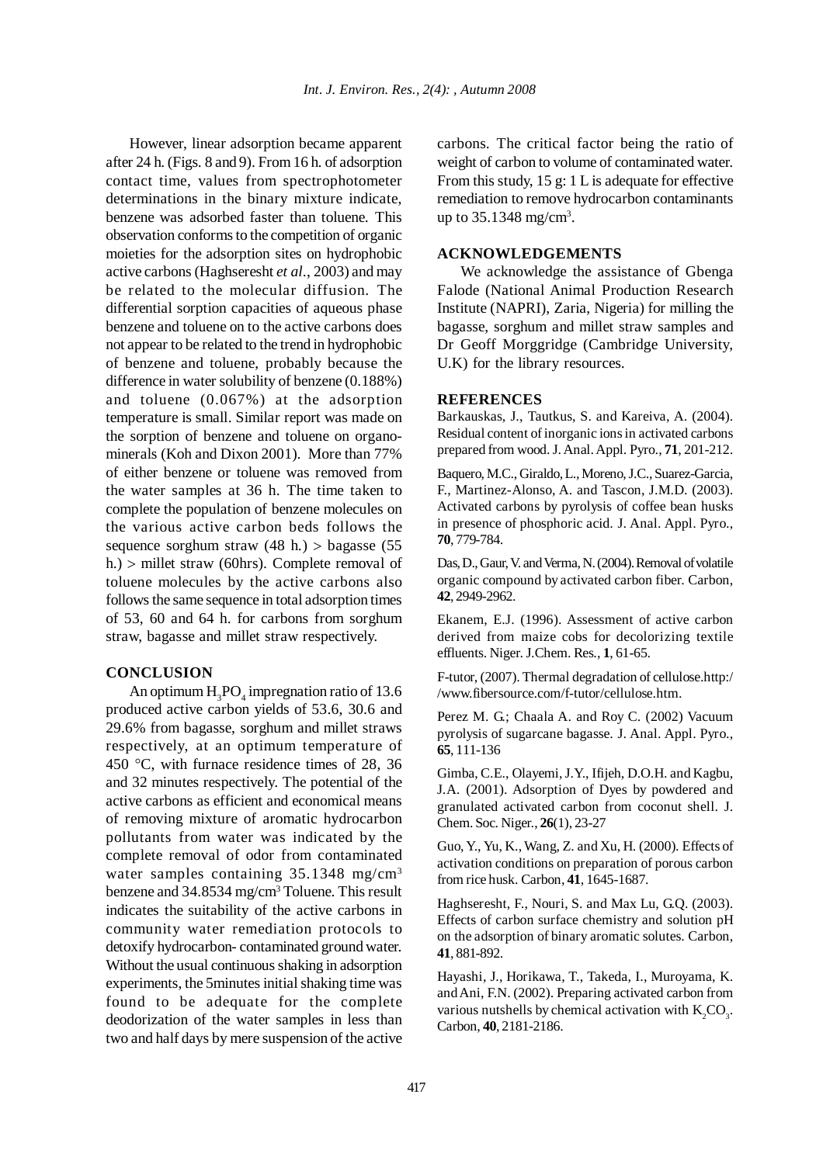However, linear adsorption became apparent after 24 h. (Figs. 8 and 9). From 16 h. of adsorption contact time, values from spectrophotometer determinations in the binary mixture indicate, benzene was adsorbed faster than toluene. This observation conforms to the competition of organic moieties for the adsorption sites on hydrophobic active carbons (Haghseresht *et al*., 2003) and may be related to the molecular diffusion. The differential sorption capacities of aqueous phase benzene and toluene on to the active carbons does not appear to be related to the trend in hydrophobic of benzene and toluene, probably because the difference in water solubility of benzene (0.188%) and toluene (0.067%) at the adsorption temperature is small. Similar report was made on the sorption of benzene and toluene on organominerals (Koh and Dixon 2001). More than 77% of either benzene or toluene was removed from the water samples at 36 h. The time taken to complete the population of benzene molecules on the various active carbon beds follows the sequence sorghum straw (48 h.) > bagasse (55 h.) > millet straw (60hrs). Complete removal of toluene molecules by the active carbons also follows the same sequence in total adsorption times of 53, 60 and 64 h. for carbons from sorghum straw, bagasse and millet straw respectively.

### **CONCLUSION**

An optimum  $H_3PO_4$  impregnation ratio of 13.6 produced active carbon yields of 53.6, 30.6 and 29.6% from bagasse, sorghum and millet straws respectively, at an optimum temperature of 450 °C, with furnace residence times of 28, 36 and 32 minutes respectively. The potential of the active carbons as efficient and economical means of removing mixture of aromatic hydrocarbon pollutants from water was indicated by the complete removal of odor from contaminated water samples containing 35.1348 mg/cm<sup>3</sup> benzene and 34.8534 mg/cm<sup>3</sup> Toluene. This result indicates the suitability of the active carbons in community water remediation protocols to detoxify hydrocarbon- contaminated ground water. Without the usual continuous shaking in adsorption experiments, the 5minutes initial shaking time was found to be adequate for the complete deodorization of the water samples in less than two and half days by mere suspension of the active carbons. The critical factor being the ratio of weight of carbon to volume of contaminated water. From this study, 15 g: 1 L is adequate for effective remediation to remove hydrocarbon contaminants up to 35.1348 mg/cm<sup>3</sup>.

## **ACKNOWLEDGEMENTS**

We acknowledge the assistance of Gbenga Falode (National Animal Production Research Institute (NAPRI), Zaria, Nigeria) for milling the bagasse, sorghum and millet straw samples and Dr Geoff Morggridge (Cambridge University, U.K) for the library resources.

#### **REFERENCES**

Barkauskas, J., Tautkus, S. and Kareiva, A. (2004). Residual content of inorganic ions in activated carbons prepared from wood. J. Anal. Appl. Pyro., **71**, 201-212.

Baquero, M.C., Giraldo, L., Moreno, J.C., Suarez-Garcia, F., Martinez-Alonso, A. and Tascon, J.M.D. (2003). Activated carbons by pyrolysis of coffee bean husks in presence of phosphoric acid. J. Anal. Appl. Pyro., **70**, 779-784.

Das, D., Gaur, V. and Verma, N. (2004). Removal of volatile organic compound by activated carbon fiber. Carbon, **42**, 2949-2962.

Ekanem, E.J. (1996). Assessment of active carbon derived from maize cobs for decolorizing textile effluents. Niger. J.Chem. Res., **1**, 61-65.

F-tutor, (2007). Thermal degradation of cellulose.http:/ /www.fibersource.com/f-tutor/cellulose.htm.

Perez M. G.; Chaala A. and Roy C. (2002) Vacuum pyrolysis of sugarcane bagasse. J. Anal. Appl. Pyro., **65**, 111-136

Gimba, C.E., Olayemi, J.Y., Ifijeh, D.O.H. and Kagbu, J.A. (2001). Adsorption of Dyes by powdered and granulated activated carbon from coconut shell. J. Chem. Soc. Niger., **26**(1), 23-27

Guo, Y., Yu, K., Wang, Z. and Xu, H. (2000). Effects of activation conditions on preparation of porous carbon from rice husk. Carbon, **41**, 1645-1687.

Haghseresht, F., Nouri, S. and Max Lu, G.Q. (2003). Effects of carbon surface chemistry and solution pH on the adsorption of binary aromatic solutes. Carbon, **41**, 881-892.

Hayashi, J., Horikawa, T., Takeda, I., Muroyama, K. and Ani, F.N. (2002). Preparing activated carbon from various nutshells by chemical activation with  $K_2CO_3$ . Carbon, **40**, 2181-2186.